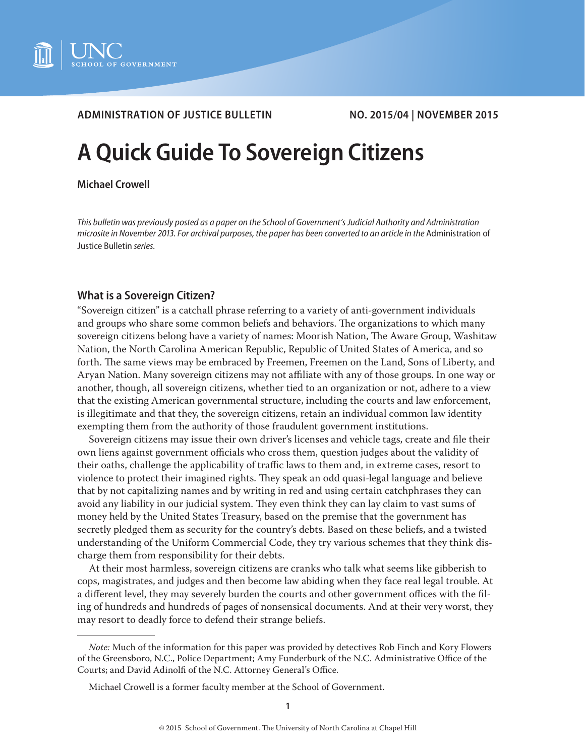

# **ADMINISTRATION OF JUSTICE BULLETIN NO. 2015/04 | NOVEMBER 2015**

# **A Quick Guide To Sovereign Citizens**

#### **Michael Crowell**

*This bulletin was previously posted as a paper on the School of Government's Judicial Authority and Administration microsite in November 2013. For archival purposes, the paper has been converted to an article in the* Administration of Justice Bulletin *series.*

## **What is a Sovereign Citizen?**

"Sovereign citizen" is a catchall phrase referring to a variety of anti-government individuals and groups who share some common beliefs and behaviors. The organizations to which many sovereign citizens belong have a variety of names: Moorish Nation, The Aware Group, Washitaw Nation, the North Carolina American Republic, Republic of United States of America, and so forth. The same views may be embraced by Freemen, Freemen on the Land, Sons of Liberty, and Aryan Nation. Many sovereign citizens may not affiliate with any of those groups. In one way or another, though, all sovereign citizens, whether tied to an organization or not, adhere to a view that the existing American governmental structure, including the courts and law enforcement, is illegitimate and that they, the sovereign citizens, retain an individual common law identity exempting them from the authority of those fraudulent government institutions.

Sovereign citizens may issue their own driver's licenses and vehicle tags, create and file their own liens against government officials who cross them, question judges about the validity of their oaths, challenge the applicability of traffic laws to them and, in extreme cases, resort to violence to protect their imagined rights. They speak an odd quasi-legal language and believe that by not capitalizing names and by writing in red and using certain catchphrases they can avoid any liability in our judicial system. They even think they can lay claim to vast sums of money held by the United States Treasury, based on the premise that the government has secretly pledged them as security for the country's debts. Based on these beliefs, and a twisted understanding of the Uniform Commercial Code, they try various schemes that they think discharge them from responsibility for their debts.

At their most harmless, sovereign citizens are cranks who talk what seems like gibberish to cops, magistrates, and judges and then become law abiding when they face real legal trouble. At a different level, they may severely burden the courts and other government offices with the filing of hundreds and hundreds of pages of nonsensical documents. And at their very worst, they may resort to deadly force to defend their strange beliefs.

*Note:* Much of the information for this paper was provided by detectives Rob Finch and Kory Flowers of the Greensboro, N.C., Police Department; Amy Funderburk of the N.C. Administrative Office of the Courts; and David Adinolfi of the N.C. Attorney General's Office.

Michael Crowell is a former faculty member at the School of Government.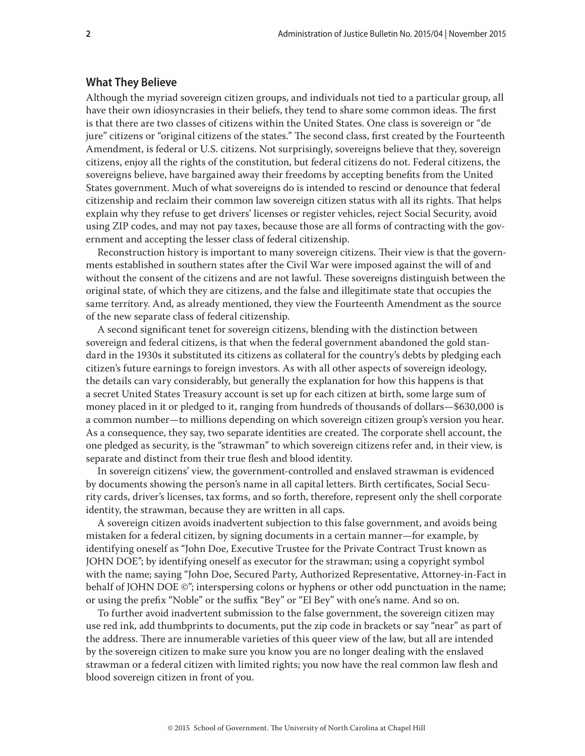#### **What They Believe**

Although the myriad sovereign citizen groups, and individuals not tied to a particular group, all have their own idiosyncrasies in their beliefs, they tend to share some common ideas. The first is that there are two classes of citizens within the United States. One class is sovereign or "de jure" citizens or "original citizens of the states." The second class, first created by the Fourteenth Amendment, is federal or U.S. citizens. Not surprisingly, sovereigns believe that they, sovereign citizens, enjoy all the rights of the constitution, but federal citizens do not. Federal citizens, the sovereigns believe, have bargained away their freedoms by accepting benefits from the United States government. Much of what sovereigns do is intended to rescind or denounce that federal citizenship and reclaim their common law sovereign citizen status with all its rights. That helps explain why they refuse to get drivers' licenses or register vehicles, reject Social Security, avoid using ZIP codes, and may not pay taxes, because those are all forms of contracting with the government and accepting the lesser class of federal citizenship.

Reconstruction history is important to many sovereign citizens. Their view is that the governments established in southern states after the Civil War were imposed against the will of and without the consent of the citizens and are not lawful. These sovereigns distinguish between the original state, of which they are citizens, and the false and illegitimate state that occupies the same territory. And, as already mentioned, they view the Fourteenth Amendment as the source of the new separate class of federal citizenship.

A second significant tenet for sovereign citizens, blending with the distinction between sovereign and federal citizens, is that when the federal government abandoned the gold standard in the 1930s it substituted its citizens as collateral for the country's debts by pledging each citizen's future earnings to foreign investors. As with all other aspects of sovereign ideology, the details can vary considerably, but generally the explanation for how this happens is that a secret United States Treasury account is set up for each citizen at birth, some large sum of money placed in it or pledged to it, ranging from hundreds of thousands of dollars—\$630,000 is a common number—to millions depending on which sovereign citizen group's version you hear. As a consequence, they say, two separate identities are created. The corporate shell account, the one pledged as security, is the "strawman" to which sovereign citizens refer and, in their view, is separate and distinct from their true flesh and blood identity.

In sovereign citizens' view, the government-controlled and enslaved strawman is evidenced by documents showing the person's name in all capital letters. Birth certificates, Social Security cards, driver's licenses, tax forms, and so forth, therefore, represent only the shell corporate identity, the strawman, because they are written in all caps.

A sovereign citizen avoids inadvertent subjection to this false government, and avoids being mistaken for a federal citizen, by signing documents in a certain manner—for example, by identifying oneself as "John Doe, Executive Trustee for the Private Contract Trust known as JOHN DOE"; by identifying oneself as executor for the strawman; using a copyright symbol with the name; saying "John Doe, Secured Party, Authorized Representative, Attorney-in-Fact in behalf of JOHN DOE ©"; interspersing colons or hyphens or other odd punctuation in the name; or using the prefix "Noble" or the suffix "Bey" or "El Bey" with one's name. And so on.

To further avoid inadvertent submission to the false government, the sovereign citizen may use red ink, add thumbprints to documents, put the zip code in brackets or say "near" as part of the address. There are innumerable varieties of this queer view of the law, but all are intended by the sovereign citizen to make sure you know you are no longer dealing with the enslaved strawman or a federal citizen with limited rights; you now have the real common law flesh and blood sovereign citizen in front of you.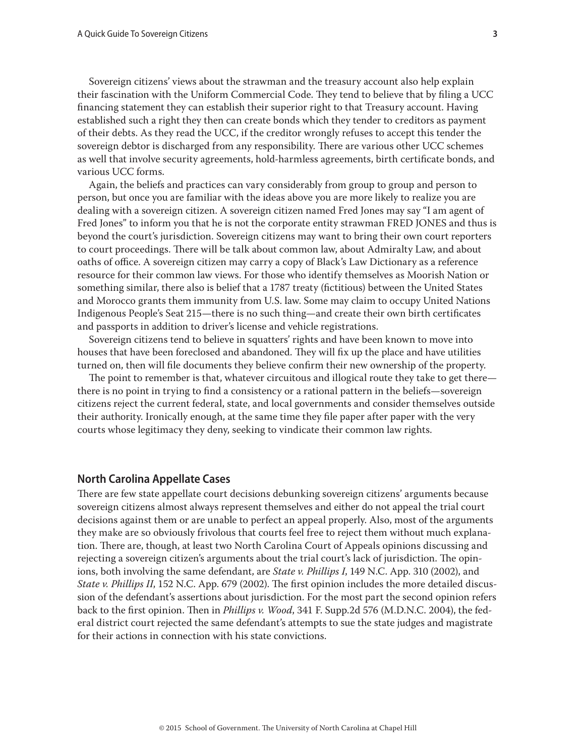Sovereign citizens' views about the strawman and the treasury account also help explain their fascination with the Uniform Commercial Code. They tend to believe that by filing a UCC financing statement they can establish their superior right to that Treasury account. Having established such a right they then can create bonds which they tender to creditors as payment of their debts. As they read the UCC, if the creditor wrongly refuses to accept this tender the sovereign debtor is discharged from any responsibility. There are various other UCC schemes as well that involve security agreements, hold-harmless agreements, birth certificate bonds, and various UCC forms.

Again, the beliefs and practices can vary considerably from group to group and person to person, but once you are familiar with the ideas above you are more likely to realize you are dealing with a sovereign citizen. A sovereign citizen named Fred Jones may say "I am agent of Fred Jones" to inform you that he is not the corporate entity strawman FRED JONES and thus is beyond the court's jurisdiction. Sovereign citizens may want to bring their own court reporters to court proceedings. There will be talk about common law, about Admiralty Law, and about oaths of office. A sovereign citizen may carry a copy of Black's Law Dictionary as a reference resource for their common law views. For those who identify themselves as Moorish Nation or something similar, there also is belief that a 1787 treaty (fictitious) between the United States and Morocco grants them immunity from U.S. law. Some may claim to occupy United Nations Indigenous People's Seat 215—there is no such thing—and create their own birth certificates and passports in addition to driver's license and vehicle registrations.

Sovereign citizens tend to believe in squatters' rights and have been known to move into houses that have been foreclosed and abandoned. They will fix up the place and have utilities turned on, then will file documents they believe confirm their new ownership of the property.

The point to remember is that, whatever circuitous and illogical route they take to get there there is no point in trying to find a consistency or a rational pattern in the beliefs—sovereign citizens reject the current federal, state, and local governments and consider themselves outside their authority. Ironically enough, at the same time they file paper after paper with the very courts whose legitimacy they deny, seeking to vindicate their common law rights.

## **North Carolina Appellate Cases**

There are few state appellate court decisions debunking sovereign citizens' arguments because sovereign citizens almost always represent themselves and either do not appeal the trial court decisions against them or are unable to perfect an appeal properly. Also, most of the arguments they make are so obviously frivolous that courts feel free to reject them without much explanation. There are, though, at least two North Carolina Court of Appeals opinions discussing and rejecting a sovereign citizen's arguments about the trial court's lack of jurisdiction. The opinions, both involving the same defendant, are *State v. Phillips I*, 149 N.C. App. 310 (2002), and *State v. Phillips II*, 152 N.C. App. 679 (2002). The first opinion includes the more detailed discussion of the defendant's assertions about jurisdiction. For the most part the second opinion refers back to the first opinion. Then in *Phillips v. Wood*, 341 F. Supp.2d 576 (M.D.N.C. 2004), the federal district court rejected the same defendant's attempts to sue the state judges and magistrate for their actions in connection with his state convictions.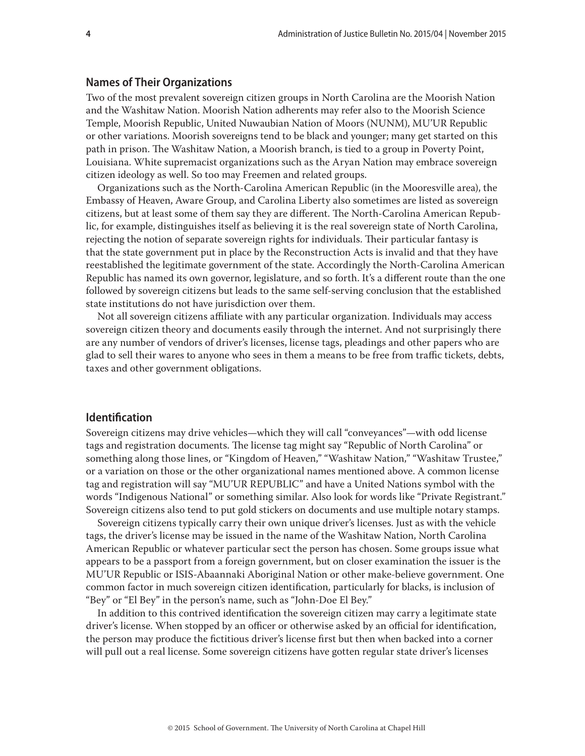#### **Names of Their Organizations**

Two of the most prevalent sovereign citizen groups in North Carolina are the Moorish Nation and the Washitaw Nation. Moorish Nation adherents may refer also to the Moorish Science Temple, Moorish Republic, United Nuwaubian Nation of Moors (NUNM), MU'UR Republic or other variations. Moorish sovereigns tend to be black and younger; many get started on this path in prison. The Washitaw Nation, a Moorish branch, is tied to a group in Poverty Point, Louisiana. White supremacist organizations such as the Aryan Nation may embrace sovereign citizen ideology as well. So too may Freemen and related groups.

Organizations such as the North-Carolina American Republic (in the Mooresville area), the Embassy of Heaven, Aware Group, and Carolina Liberty also sometimes are listed as sovereign citizens, but at least some of them say they are different. The North-Carolina American Republic, for example, distinguishes itself as believing it is the real sovereign state of North Carolina, rejecting the notion of separate sovereign rights for individuals. Their particular fantasy is that the state government put in place by the Reconstruction Acts is invalid and that they have reestablished the legitimate government of the state. Accordingly the North-Carolina American Republic has named its own governor, legislature, and so forth. It's a different route than the one followed by sovereign citizens but leads to the same self-serving conclusion that the established state institutions do not have jurisdiction over them.

Not all sovereign citizens affiliate with any particular organization. Individuals may access sovereign citizen theory and documents easily through the internet. And not surprisingly there are any number of vendors of driver's licenses, license tags, pleadings and other papers who are glad to sell their wares to anyone who sees in them a means to be free from traffic tickets, debts, taxes and other government obligations.

#### **Identification**

Sovereign citizens may drive vehicles—which they will call "conveyances"—with odd license tags and registration documents. The license tag might say "Republic of North Carolina" or something along those lines, or "Kingdom of Heaven," "Washitaw Nation," "Washitaw Trustee," or a variation on those or the other organizational names mentioned above. A common license tag and registration will say "MU'UR REPUBLIC" and have a United Nations symbol with the words "Indigenous National" or something similar. Also look for words like "Private Registrant." Sovereign citizens also tend to put gold stickers on documents and use multiple notary stamps.

Sovereign citizens typically carry their own unique driver's licenses. Just as with the vehicle tags, the driver's license may be issued in the name of the Washitaw Nation, North Carolina American Republic or whatever particular sect the person has chosen. Some groups issue what appears to be a passport from a foreign government, but on closer examination the issuer is the MU'UR Republic or ISIS-Abaannaki Aboriginal Nation or other make-believe government. One common factor in much sovereign citizen identification, particularly for blacks, is inclusion of "Bey" or "El Bey" in the person's name, such as "John-Doe El Bey."

In addition to this contrived identification the sovereign citizen may carry a legitimate state driver's license. When stopped by an officer or otherwise asked by an official for identification, the person may produce the fictitious driver's license first but then when backed into a corner will pull out a real license. Some sovereign citizens have gotten regular state driver's licenses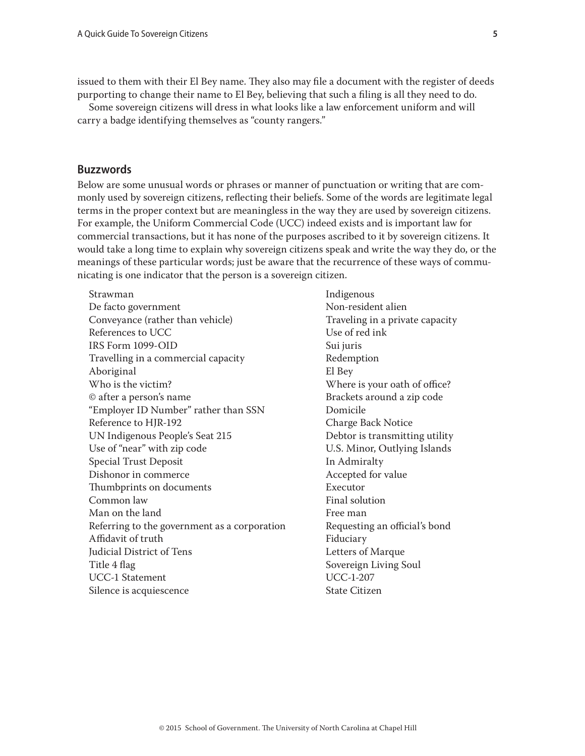issued to them with their El Bey name. They also may file a document with the register of deeds purporting to change their name to El Bey, believing that such a filing is all they need to do.

Some sovereign citizens will dress in what looks like a law enforcement uniform and will carry a badge identifying themselves as "county rangers."

# **Buzzwords**

Below are some unusual words or phrases or manner of punctuation or writing that are commonly used by sovereign citizens, reflecting their beliefs. Some of the words are legitimate legal terms in the proper context but are meaningless in the way they are used by sovereign citizens. For example, the Uniform Commercial Code (UCC) indeed exists and is important law for commercial transactions, but it has none of the purposes ascribed to it by sovereign citizens. It would take a long time to explain why sovereign citizens speak and write the way they do, or the meanings of these particular words; just be aware that the recurrence of these ways of communicating is one indicator that the person is a sovereign citizen.

Strawman Indigenous De facto government Non-resident alien Conveyance (rather than vehicle) Traveling in a private capacity References to UCC Use of red ink IRS Form 1099-OID Sui juris Travelling in a commercial capacity Travelling in a commercial capacity Aboriginal El Bey © after a person's name Brackets around a zip code "Employer ID Number" rather than SSN Domicile Reference to HIR-192 Charge Back Notice UN Indigenous People's Seat 215 Debtor is transmitting utility Use of "near" with zip code U.S. Minor, Outlying Islands Special Trust Deposit **In Admiralty** Dishonor in commerce Accepted for value Thumbprints on documents Executor Common law Final solution Man on the land Free man Referring to the government as a corporation Requesting an official's bond Affidavit of truth Fiduciary Judicial District of Tens **Letters** of Marque Title 4 flag Sovereign Living Soul UCC-1 Statement UCC-1-207 Silence is acquiescence State Citizen

Where is your oath of office?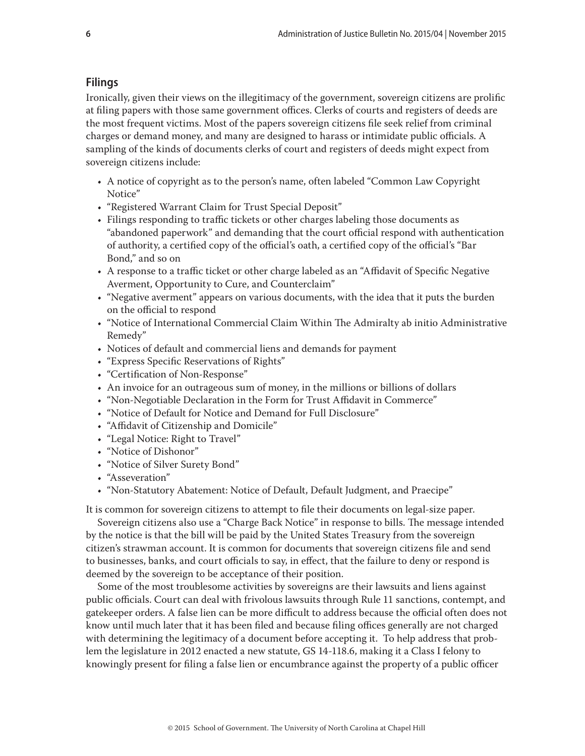# **Filings**

Ironically, given their views on the illegitimacy of the government, sovereign citizens are prolific at filing papers with those same government offices. Clerks of courts and registers of deeds are the most frequent victims. Most of the papers sovereign citizens file seek relief from criminal charges or demand money, and many are designed to harass or intimidate public officials. A sampling of the kinds of documents clerks of court and registers of deeds might expect from sovereign citizens include:

- A notice of copyright as to the person's name, often labeled "Common Law Copyright Notice"
- "Registered Warrant Claim for Trust Special Deposit"
- Filings responding to traffic tickets or other charges labeling those documents as "abandoned paperwork" and demanding that the court official respond with authentication of authority, a certified copy of the official's oath, a certified copy of the official's "Bar Bond," and so on
- A response to a traffic ticket or other charge labeled as an "Affidavit of Specific Negative Averment, Opportunity to Cure, and Counterclaim"
- "Negative averment" appears on various documents, with the idea that it puts the burden on the official to respond
- "Notice of International Commercial Claim Within The Admiralty ab initio Administrative Remedy"
- Notices of default and commercial liens and demands for payment
- "Express Specific Reservations of Rights"
- "Certification of Non-Response"
- An invoice for an outrageous sum of money, in the millions or billions of dollars
- "Non-Negotiable Declaration in the Form for Trust Affidavit in Commerce"
- "Notice of Default for Notice and Demand for Full Disclosure"
- "Affidavit of Citizenship and Domicile"
- "Legal Notice: Right to Travel"
- "Notice of Dishonor"
- "Notice of Silver Surety Bond"
- "Asseveration"
- "Non-Statutory Abatement: Notice of Default, Default Judgment, and Praecipe"

It is common for sovereign citizens to attempt to file their documents on legal-size paper.

Sovereign citizens also use a "Charge Back Notice" in response to bills. The message intended by the notice is that the bill will be paid by the United States Treasury from the sovereign citizen's strawman account. It is common for documents that sovereign citizens file and send to businesses, banks, and court officials to say, in effect, that the failure to deny or respond is deemed by the sovereign to be acceptance of their position.

Some of the most troublesome activities by sovereigns are their lawsuits and liens against public officials. Court can deal with frivolous lawsuits through Rule 11 sanctions, contempt, and gatekeeper orders. A false lien can be more difficult to address because the official often does not know until much later that it has been filed and because filing offices generally are not charged with determining the legitimacy of a document before accepting it. To help address that problem the legislature in 2012 enacted a new statute, GS 14-118.6, making it a Class I felony to knowingly present for filing a false lien or encumbrance against the property of a public officer